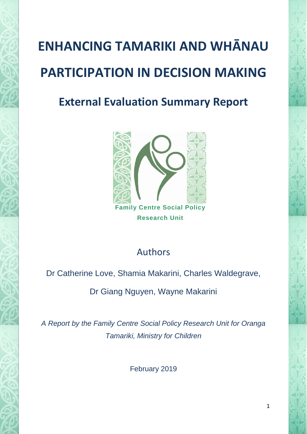# **ENHANCING TAMARIKI AND WHĀNAU PARTICIPATION IN DECISION MAKING**

## **External Evaluation Summary Report**



**Research Unit**

## Authors

Dr Catherine Love, Shamia Makarini, Charles Waldegrave,

Dr Giang Nguyen, Wayne Makarini

*A Report by the Family Centre Social Policy Research Unit for Oranga Tamariki, Ministry for Children*

February 2019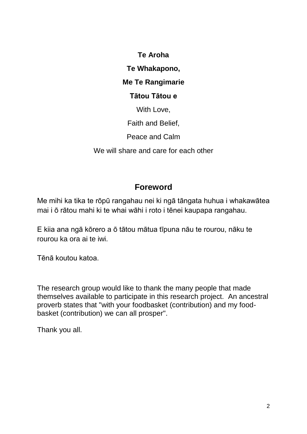**Te Aroha**

**Te Whakapono,** 

## **Me Te Rangimarie**

## **Tātou Tātou e**

With Love,

Faith and Belief,

Peace and Calm

We will share and care for each other

## **Foreword**

Me mihi ka tika te rōpū rangahau nei ki ngā tāngata huhua i whakawātea mai i ō rātou mahi ki te whai wāhi i roto i tēnei kaupapa rangahau.

E kiia ana ngā kōrero a ō tātou mātua tīpuna nāu te rourou, nāku te rourou ka ora ai te iwi.

Tēnā koutou katoa.

The research group would like to thank the many people that made themselves available to participate in this research project. An ancestral proverb states that "with your foodbasket (contribution) and my foodbasket (contribution) we can all prosper".

Thank you all.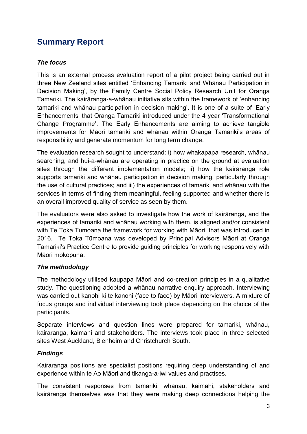## **Summary Report**

#### *The focus*

This is an external process evaluation report of a pilot project being carried out in three New Zealand sites entitled 'Enhancing Tamariki and Whānau Participation in Decision Making', by the Family Centre Social Policy Research Unit for Oranga Tamariki. The kairāranga-a-whānau initiative sits within the framework of 'enhancing tamariki and whānau participation in decision-making'. It is one of a suite of 'Early Enhancements' that Oranga Tamariki introduced under the 4 year 'Transformational Change Programme'. The Early Enhancements are aiming to achieve tangible improvements for Māori tamariki and whānau within Oranga Tamariki's areas of responsibility and generate momentum for long term change.

The evaluation research sought to understand: i) how whakapapa research, whānau searching, and hui-a-whānau are operating in practice on the ground at evaluation sites through the different implementation models; ii) how the kairāranga role supports tamariki and whānau participation in decision making, particularly through the use of cultural practices; and iii) the experiences of tamariki and whānau with the services in terms of finding them meaningful, feeling supported and whether there is an overall improved quality of service as seen by them.

The evaluators were also asked to investigate how the work of kairāranga, and the experiences of tamariki and whānau working with them, is aligned and/or consistent with Te Toka Tumoana the framework for working with Māori, that was introduced in 2016. Te Toka Tūmoana was developed by Principal Advisors Māori at Oranga Tamariki's Practice Centre to provide guiding principles for working responsively with Māori mokopuna.

#### *The methodology*

The methodology utilised kaupapa Māori and co-creation principles in a qualitative study. The questioning adopted a whānau narrative enquiry approach. Interviewing was carried out kanohi ki te kanohi (face to face) by Māori interviewers. A mixture of focus groups and individual interviewing took place depending on the choice of the participants.

Separate interviews and question lines were prepared for tamariki, whānau, kairaranga, kaimahi and stakeholders. The interviews took place in three selected sites West Auckland, Blenheim and Christchurch South.

#### *Findings*

Kairaranga positions are specialist positions requiring deep understanding of and experience within te Ao Māori and tikanga-a-iwi values and practises.

The consistent responses from tamariki, whānau, kaimahi, stakeholders and kairāranga themselves was that they were making deep connections helping the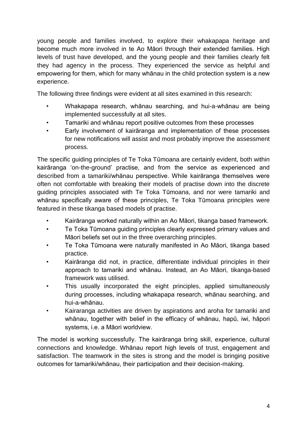young people and families involved, to explore their whakapapa heritage and become much more involved in te Ao Māori through their extended families. High levels of trust have developed, and the young people and their families clearly felt they had agency in the process. They experienced the service as helpful and empowering for them, which for many whānau in the child protection system is a new experience.

The following three findings were evident at all sites examined in this research:

- Whakapapa research, whānau searching, and hui-a-whānau are being implemented successfully at all sites.
- Tamariki and whānau report positive outcomes from these processes
- Early involvement of kairāranga and implementation of these processes for new notifications will assist and most probably improve the assessment process.

The specific guiding principles of Te Toka Tūmoana are certainly evident, both within kairāranga 'on-the-ground' practise, and from the service as experienced and described from a tamariki/whānau perspective. While kairāranga themselves were often not comfortable with breaking their models of practise down into the discrete guiding principles associated with Te Toka Tūmoana, and nor were tamariki and whānau specifically aware of these principles, Te Toka Tūmoana principles were featured in these tikanga based models of practise.

- Kairāranga worked naturally within an Ao Māori, tikanga based framework.
- Te Toka Tūmoana guiding principles clearly expressed primary values and Māori beliefs set out in the three overarching principles.
- Te Toka Tūmoana were naturally manifested in Ao Māori, tikanga based practice.
- Kairāranga did not, in practice, differentiate individual principles in their approach to tamariki and whānau. Instead, an Ao Māori, tikanga-based framework was utilised.
- This usually incorporated the eight principles, applied simultaneously during processes, including whakapapa research, whānau searching, and hui-a-whānau.
- Kairaranga activities are driven by aspirations and aroha for tamariki and whānau, together with belief in the efficacy of whānau, hapū, iwi, hāpori systems, i.e. a Māori worldview.

The model is working successfully. The kairāranga bring skill, experience, cultural connections and knowledge. Whānau report high levels of trust, engagement and satisfaction. The teamwork in the sites is strong and the model is bringing positive outcomes for tamariki/whānau, their participation and their decision-making.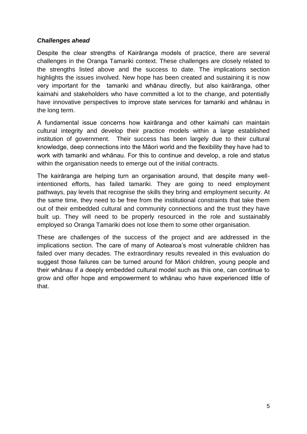#### *Challenges ahead*

Despite the clear strengths of Kairāranga models of practice, there are several challenges in the Oranga Tamariki context. These challenges are closely related to the strengths listed above and the success to date. The implications section highlights the issues involved. New hope has been created and sustaining it is now very important for the tamariki and whānau directly, but also kairāranga, other kaimahi and stakeholders who have committed a lot to the change, and potentially have innovative perspectives to improve state services for tamariki and whānau in the long term.

A fundamental issue concerns how kairāranga and other kaimahi can maintain cultural integrity and develop their practice models within a large established institution of government. Their success has been largely due to their cultural knowledge, deep connections into the Māori world and the flexibility they have had to work with tamariki and whānau. For this to continue and develop, a role and status within the organisation needs to emerge out of the initial contracts.

The kairāranga are helping turn an organisation around, that despite many wellintentioned efforts, has failed tamariki. They are going to need employment pathways, pay levels that recognise the skills they bring and employment security. At the same time, they need to be free from the institutional constraints that take them out of their embedded cultural and community connections and the trust they have built up. They will need to be properly resourced in the role and sustainably employed so Oranga Tamariki does not lose them to some other organisation.

These are challenges of the success of the project and are addressed in the implications section. The care of many of Aotearoa's most vulnerable children has failed over many decades. The extraordinary results revealed in this evaluation do suggest those failures can be turned around for Māori children, young people and their whānau if a deeply embedded cultural model such as this one, can continue to grow and offer hope and empowerment to whānau who have experienced little of that.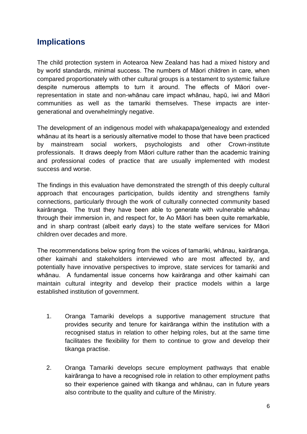## **Implications**

The child protection system in Aotearoa New Zealand has had a mixed history and by world standards, minimal success. The numbers of Māori children in care, when compared proportionately with other cultural groups is a testament to systemic failure despite numerous attempts to turn it around. The effects of Māori overrepresentation in state and non-whānau care impact whānau, hapū, iwi and Māori communities as well as the tamariki themselves. These impacts are intergenerational and overwhelmingly negative.

The development of an indigenous model with whakapapa/genealogy and extended whānau at its heart is a seriously alternative model to those that have been practiced by mainstream social workers, psychologists and other Crown-institute professionals. It draws deeply from Māori culture rather than the academic training and professional codes of practice that are usually implemented with modest success and worse.

The findings in this evaluation have demonstrated the strength of this deeply cultural approach that encourages participation, builds identity and strengthens family connections, particularly through the work of culturally connected community based kairāranga. The trust they have been able to generate with vulnerable whānau through their immersion in, and respect for, te Ao Māori has been quite remarkable, and in sharp contrast (albeit early days) to the state welfare services for Māori children over decades and more.

The recommendations below spring from the voices of tamariki, whānau, kairāranga, other kaimahi and stakeholders interviewed who are most affected by, and potentially have innovative perspectives to improve, state services for tamariki and whānau. A fundamental issue concerns how kairāranga and other kaimahi can maintain cultural integrity and develop their practice models within a large established institution of government.

- 1. Oranga Tamariki develops a supportive management structure that provides security and tenure for kairāranga within the institution with a recognised status in relation to other helping roles, but at the same time facilitates the flexibility for them to continue to grow and develop their tikanga practise.
- 2. Oranga Tamariki develops secure employment pathways that enable kairāranga to have a recognised role in relation to other employment paths so their experience gained with tikanga and whānau, can in future years also contribute to the quality and culture of the Ministry.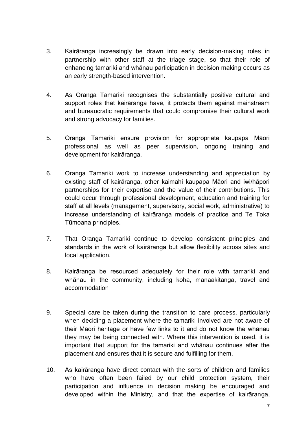- 3. Kairāranga increasingly be drawn into early decision-making roles in partnership with other staff at the triage stage, so that their role of enhancing tamariki and whānau participation in decision making occurs as an early strength-based intervention.
- 4. As Oranga Tamariki recognises the substantially positive cultural and support roles that kairāranga have, it protects them against mainstream and bureaucratic requirements that could compromise their cultural work and strong advocacy for families.
- 5. Oranga Tamariki ensure provision for appropriate kaupapa Māori professional as well as peer supervision, ongoing training and development for kairāranga.
- 6. Oranga Tamariki work to increase understanding and appreciation by existing staff of kairāranga, other kaimahi kaupapa Māori and iwi/hāpori partnerships for their expertise and the value of their contributions. This could occur through professional development, education and training for staff at all levels (management, supervisory, social work, administrative) to increase understanding of kairāranga models of practice and Te Toka Tūmoana principles.
- 7. That Oranga Tamariki continue to develop consistent principles and standards in the work of kairāranga but allow flexibility across sites and local application.
- 8. Kairāranga be resourced adequately for their role with tamariki and whānau in the community, including koha, manaakitanga, travel and accommodation
- 9. Special care be taken during the transition to care process, particularly when deciding a placement where the tamariki involved are not aware of their Māori heritage or have few links to it and do not know the whānau they may be being connected with. Where this intervention is used, it is important that support for the tamariki and whānau continues after the placement and ensures that it is secure and fulfilling for them.
- 10. As kairāranga have direct contact with the sorts of children and families who have often been failed by our child protection system, their participation and influence in decision making be encouraged and developed within the Ministry, and that the expertise of kairāranga,